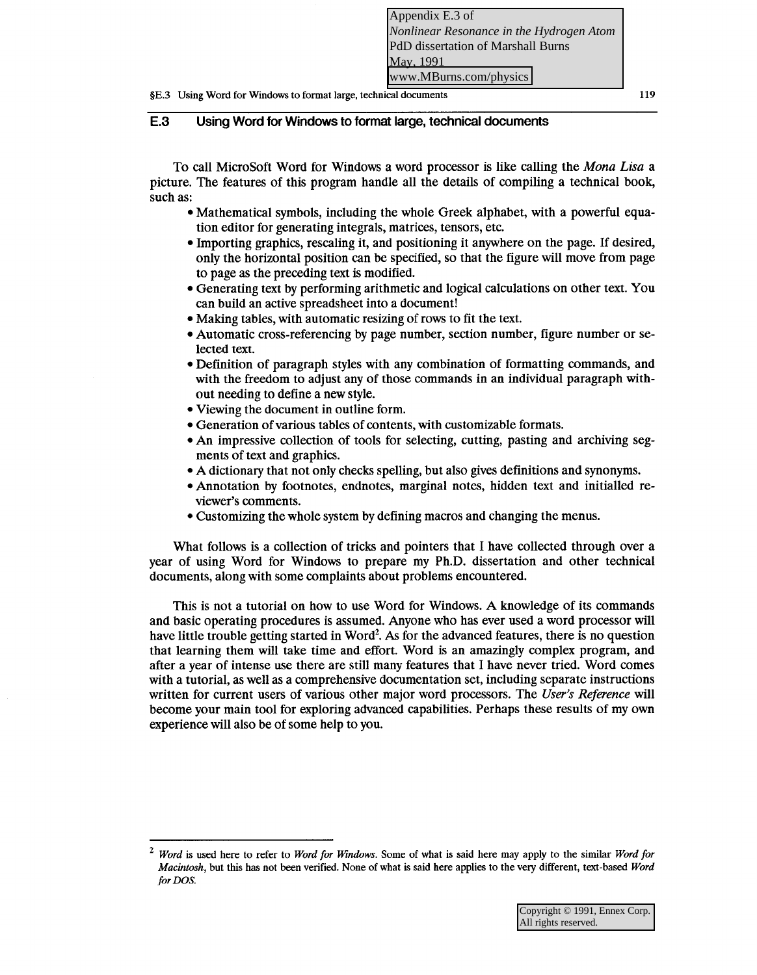# **E.3 Using Word for Windows to format large, technical documents**

To call MicroSoft Word for Windows a word processor is like calling the *Mona Lisa* a picture. The features of this program handle all the details of compiling a technical book, such as:

- Mathematical symbols, including the whole Greek alphabet, with a powerful equation editor for generating integrals, matrices, tensors, etc.
- Importing graphics, rescaling it, and positioning it anywhere on the page. If desired, only the horizontal position can be specified, so that the figure will move from page to page as the preceding text is modified.
- Generating text by performing arithmetic and logical calculations on other text. You can build an active spreadsheet into a document!
- Making tables, with automatic resizing of rows to fit the text.
- Automatic cross-referencing by page number, section number, figure number or selected text.
- Definition of paragraph styles with any combination of formatting commands, and with the freedom to adjust any of those commands in an individual paragraph without needing to define a new style.
- Viewing the document in outline form.
- Generation of various tables of contents, with customizable formats.
- An impressive collection of tools for selecting, cutting, pasting and archiving segments of text and graphics.
- A dictionary that not only checks spelling, but also gives definitions and synonyms.
- Annotation by footnotes, endnotes, marginal notes, hidden text and initialled reviewer's comments.
- Customizing the whole system by defining macros and changing the menus.

What follows is a collection of tricks and pointers that I have collected through over a year of using Word for Windows to prepare my Ph.D. dissertation and other technical documents, along with some complaints about problems encountered.

This is not a tutorial on how to use Word for Windows. A knowledge of its commands and basic operating procedures is assumed. Anyone who has ever used a word processor will have little trouble getting started in Word<sup>2</sup>. As for the advanced features, there is no question that learning them will take time and effort. Word is an amazingly complex program, and after a year of intense use there are still many features that I have never tried. Word comes with a tutorial, as well as a comprehensive documentation set, including separate instructions written for current users of various other major word processors. The *User's Reference* will become your main tool for exploring advanced capabilities. Perhaps these results of my own experience will also be of some help to you.

<sup>2</sup>*Word* is used here to refer to *Word for Windows.* Some of what is said here may apply to the similar *Word for Macintosh,* but this has not been verified. None of what is said here applies to the very different, text-based *Word for DOS.*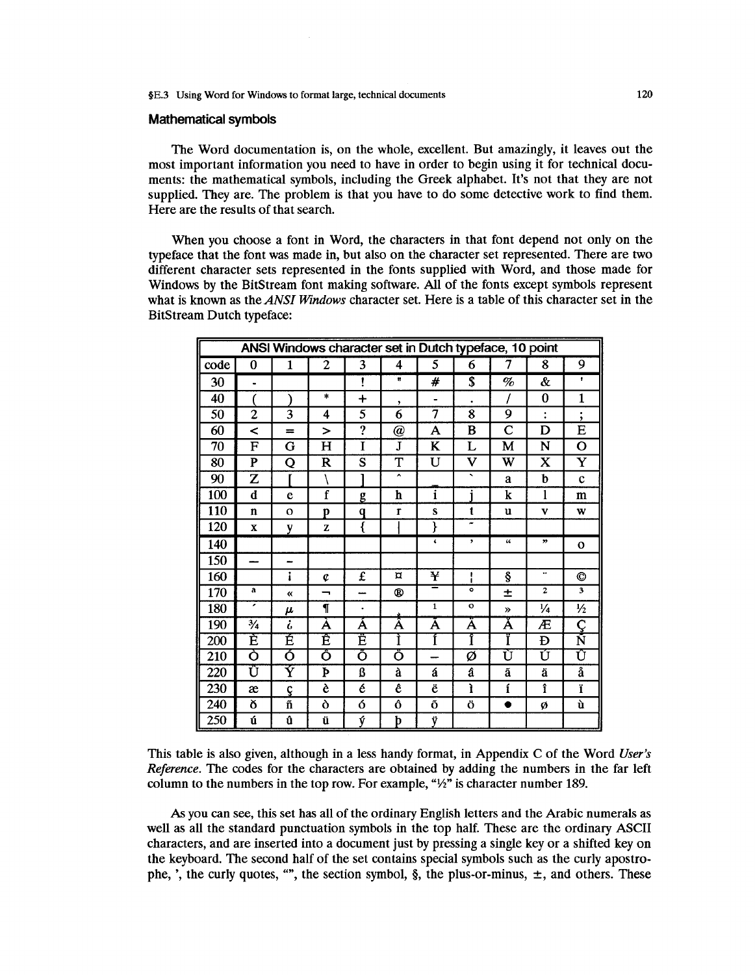#### **Mathematical symbols**

The Word documentation is, on the whole, excellent. But amazingly, it leaves out the most important information you need to have in order to begin using it for technical documents: the mathematical symbols, including the Greek alphabet. It's not that they are not supplied. They are. The problem is that you have to do some detective work to find them. Here are the results of that search.

When you choose a font in Word, the characters in that font depend not only on the typeface that the font was made in, but also on the character set represented. There are two different character sets represented in the fonts supplied with Word, and those made for Windows by the BitStream font making software. All of the fonts except symbols represent what is known as the ANSI Windows character set. Here is a table of this character set in the **BitStream Dutch typeface:** 

| ANSI Windows character set in Dutch typeface, 10 point |                         |                       |                         |                         |              |                         |                         |                         |                |                         |
|--------------------------------------------------------|-------------------------|-----------------------|-------------------------|-------------------------|--------------|-------------------------|-------------------------|-------------------------|----------------|-------------------------|
| code                                                   | 0                       | $\mathbf{1}$          | 2                       | $\overline{\mathbf{3}}$ | 4            | 5                       | 6                       | 7                       | 8              | 9                       |
| 30                                                     | $\bullet$               |                       |                         | ţ                       | $\mathbf{r}$ | #                       | \$                      | %                       | &              | f.                      |
| 40                                                     |                         |                       | *                       | $\ddot{}$               | ,            |                         |                         |                         | 0              | 1                       |
| 50                                                     | 2                       | 3                     | 4                       | 5                       | 6            | 7                       | $\overline{\mathbf{8}}$ | 9                       | $\ddot{\cdot}$ | ٠<br>,                  |
| 60                                                     | <                       | $=$                   | $\geq$                  | ?                       | @            | А                       | B                       | $\overline{\mathbf{C}}$ | D              | E                       |
| 70                                                     | F                       | G                     | H                       | Ī                       | J            | K                       | L                       | M                       | N              | $\mathbf O$             |
| 80                                                     | $\overline{\mathbf{P}}$ | Q                     | $\overline{\mathsf{R}}$ | $\overline{\mathbf{s}}$ | T            | U                       | V                       | W                       | $\mathbf x$    | Y                       |
| 90                                                     | $\overline{z}$          |                       |                         |                         | A            |                         | ◟                       | a                       | b              | $\mathbf c$             |
| 100                                                    | d                       | e                     | f                       | g                       | h            | $\overline{\mathbf{i}}$ |                         | k                       | 1              | m                       |
| 110                                                    | $\mathbf{n}$            | $\Omega$              | p                       | q                       | $\mathbf{r}$ | S                       | t                       | u                       | V              | w                       |
| 120                                                    | X                       | y                     | Z                       | ₹                       |              | ł                       | m                       |                         |                |                         |
| 140                                                    |                         |                       |                         |                         |              | $\pmb{\zeta}$           | ,                       | $\boldsymbol{\zeta}$    | ,,             | $\mathbf{o}$            |
| 150                                                    |                         | <b></b>               |                         |                         |              |                         |                         |                         |                |                         |
| 160                                                    |                         | i                     | ¢                       | £                       | $\alpha$     | ¥                       | t<br>1                  | ş                       |                | ©                       |
| 170                                                    | a                       | «                     | –                       |                         | ®            | =                       | ۰                       | 土                       | $\mathbf{2}$   | $\overline{\mathbf{3}}$ |
| 180                                                    | ,                       | μ                     | ſ                       | ٠                       |              | $\mathbf{1}$            | $\mathbf{o}$            | $\boldsymbol{v}$        | $\frac{1}{4}$  | $\frac{1}{2}$           |
| 190                                                    | $\frac{3}{4}$           | i                     | Á                       | A                       | Å            | Ä                       | A                       | Å                       | Æ              | Ç                       |
| 200                                                    | È                       | É                     | Ē                       | Ë                       | Ì            | Í                       | Î                       | Ï                       | Đ              | Ñ                       |
| 210                                                    | Ò                       | ó                     | õ                       | Õ                       | Ō            |                         | Ø                       | Ù                       | Ú              | Û                       |
| 220                                                    | Ü                       | $\overline{\text{Y}}$ | Þ                       | ß                       | à            | á                       | â                       | ã                       | ä              | $\overline{\mathbf{a}}$ |
| 230                                                    | æ                       | ç                     | è                       | é                       | ê            | ë                       | ì                       | í                       | î              | ï                       |
| 240                                                    | ð                       | ñ                     | Ò                       | ó                       | Ô            | Õ                       | Ö                       | ٠                       | ø              | ù                       |
| 250                                                    | ú                       | û                     | ü                       | ý                       | þ            | ÿ                       |                         |                         |                |                         |

This table is also given, although in a less handy format, in Appendix C of the Word User's Reference. The codes for the characters are obtained by adding the numbers in the far left column to the numbers in the top row. For example, "1/2" is character number 189.

As you can see, this set has all of the ordinary English letters and the Arabic numerals as well as all the standard punctuation symbols in the top half. These are the ordinary ASCII characters, and are inserted into a document just by pressing a single key or a shifted key on the keyboard. The second half of the set contains special symbols such as the curly apostrophe, ', the curly quotes, "", the section symbol,  $\S$ , the plus-or-minus,  $\pm$ , and others. These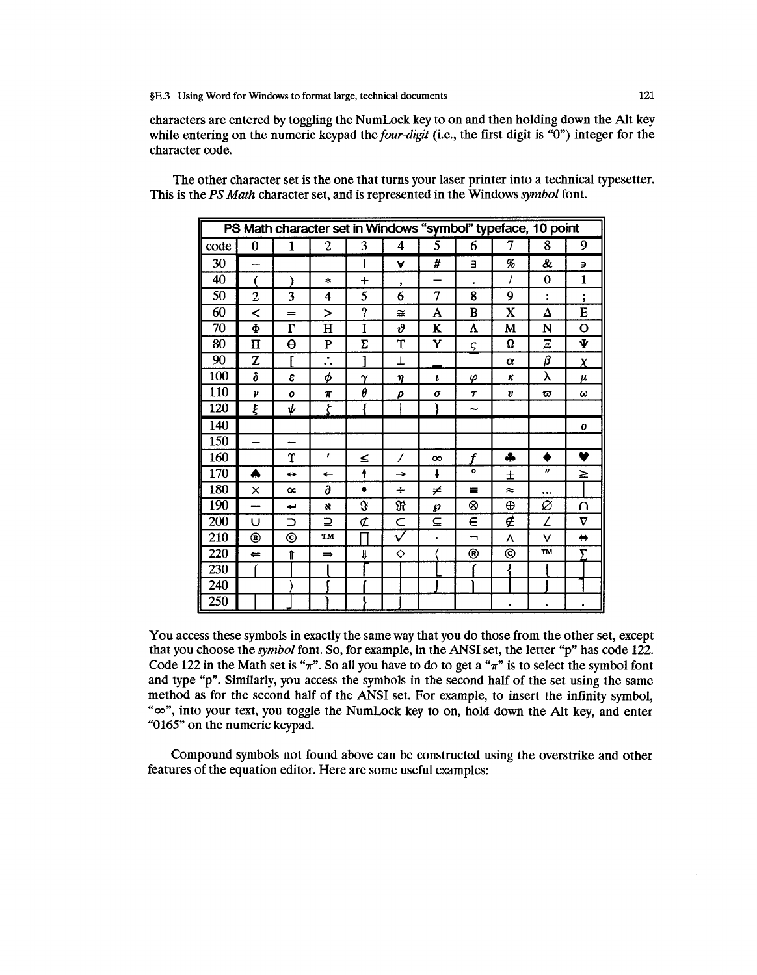characters are entered by toggling the NumLock key to on and then holding down the Alt key while entering on the numeric keypad the four-digit (i.e., the first digit is " $0$ ") integer for the character code.

The other character set is the one that turns your laser printer into a technical typesetter. This is the PS Math character set, and is represented in the Windows symbol font.

| PS Math character set in Windows "symbol" typeface, 10 point |                          |                     |                                   |          |                          |           |                          |           |                      |                   |
|--------------------------------------------------------------|--------------------------|---------------------|-----------------------------------|----------|--------------------------|-----------|--------------------------|-----------|----------------------|-------------------|
| code                                                         | $\bf{0}$                 | 1                   | $\overline{c}$                    | 3        | 4                        | 5         | 6                        | 7         | 8                    | 9                 |
| 30                                                           | <u></u>                  |                     |                                   | ŧ        | A                        | #         | Е                        | %         | &                    | Э                 |
| 40                                                           |                          |                     | $\ast$                            | $^{+}$   | ,                        |           |                          | I         | 0                    | 1                 |
| 50                                                           | $\overline{2}$           | 3                   | 4                                 | 5        | 6                        | 7         | 8                        | 9         | $\ddot{\phantom{a}}$ | ٠<br>$\bullet$    |
| 60                                                           | ≺                        | $=$                 | $\geq$                            | ?        | ≅                        | A         | B                        | X         | Δ                    | E                 |
| 70                                                           | Ф                        | $\overline{\Gamma}$ | н                                 | I        | $\boldsymbol{\vartheta}$ | K         | Λ                        | M         | N                    | О                 |
| 80                                                           | $\mathbf{I}$             | $\Theta$            | ${\bf P}$                         | Σ        | T                        | Y         | ς                        | Ω         | Ξ                    | Ψ                 |
| 90                                                           | Z                        | r                   | $\bullet$<br>$\ddot{\phantom{0}}$ |          | T                        |           |                          | $\alpha$  | β                    | $\chi$            |
| 100                                                          | δ                        | ε                   | φ                                 | $\gamma$ | η                        | ı         | φ                        | κ         | λ                    | μ                 |
| 110                                                          | $\boldsymbol{\nu}$       | $\boldsymbol{o}$    | $\pi$                             | θ        | ρ                        | σ         | $\tau$                   | υ         | ω                    | ω                 |
| 120                                                          | ξ                        | ψ                   | ζ                                 |          |                          |           | $\tilde{}$               |           |                      |                   |
| 140                                                          |                          |                     |                                   |          |                          |           |                          |           |                      | 0                 |
| 150                                                          | $\overline{\phantom{0}}$ | —                   |                                   |          |                          |           |                          |           |                      |                   |
| 160                                                          |                          | Υ                   | ,                                 | ≤        | 7                        | $\infty$  | f                        | 4         |                      | ♥                 |
| 170                                                          | ۸                        | ⇔                   | $\leftarrow$                      | ŧ        | $\rightarrow$            | J         | ۰                        | 士         | n                    | ≥                 |
| 180                                                          | ×                        | $\infty$            | д                                 | ٠        | ÷                        | ≠         | 垩                        | $\approx$ | $\cdots$             |                   |
| 190                                                          |                          | بے                  | $\boldsymbol{\kappa}$             | s.       | R                        | Ю         | ⊗                        | ⊕         | Ø                    | ∩                 |
| 200                                                          | U                        | $\supset$           | ⊇                                 | ¢        | C                        | ⊆         | $\in$                    | ∉         | Z                    | v                 |
| 210                                                          | ®                        | $^{\circ}$          | TM                                |          | $\tilde{\mathcal{V}}$    | $\bullet$ | $\overline{\phantom{0}}$ | Λ         | ν                    | $\Leftrightarrow$ |
| 220                                                          | $\leftarrow$             | Ħ                   | $\Rightarrow$                     | l        | ♦                        |           | ⊛                        | ⊚         | <b>TM</b>            | Σ                 |
| 230                                                          |                          |                     |                                   |          |                          |           |                          | ∛         |                      |                   |
| 240                                                          |                          |                     |                                   |          |                          |           |                          |           |                      |                   |
| 250                                                          |                          |                     |                                   |          |                          |           |                          | ٠         | ٠                    |                   |

You access these symbols in exactly the same way that you do those from the other set, except that you choose the *symbol* font. So, for example, in the ANSI set, the letter "p" has code 122. Code 122 in the Math set is " $\pi$ ". So all you have to do to get a " $\pi$ " is to select the symbol font and type "p". Similarly, you access the symbols in the second half of the set using the same method as for the second half of the ANSI set. For example, to insert the infinity symbol, " $\infty$ ", into your text, you toggle the NumLock key to on, hold down the Alt key, and enter "0165" on the numeric keypad.

Compound symbols not found above can be constructed using the overstrike and other features of the equation editor. Here are some useful examples: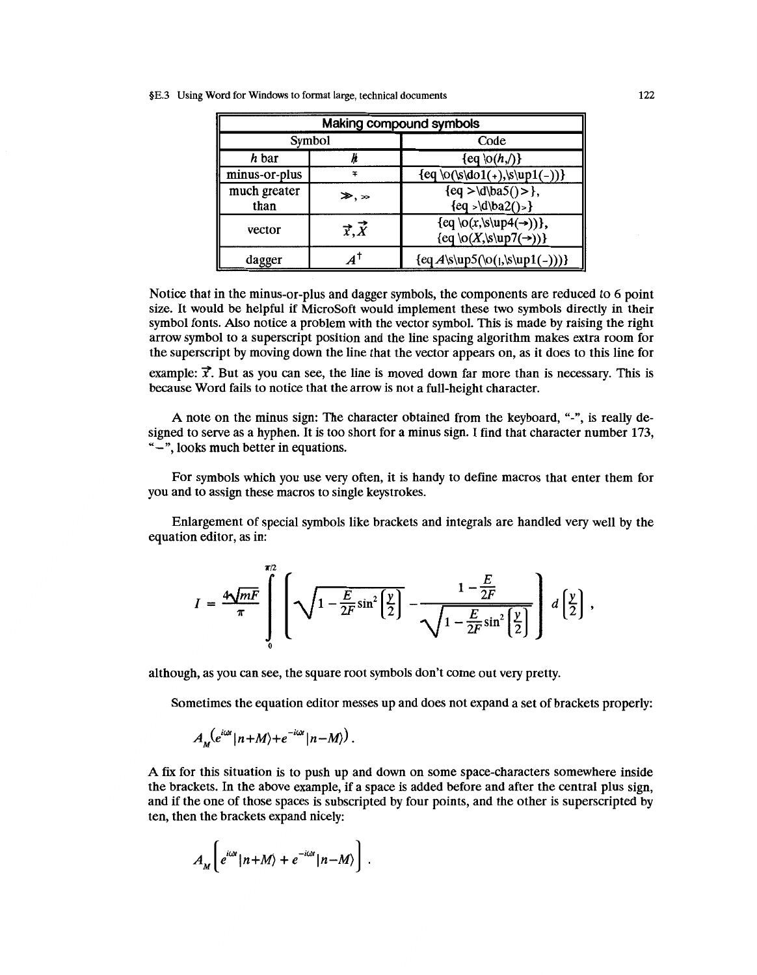|  | §E.3 Using Word for Windows to format large, technical documents | 122 |
|--|------------------------------------------------------------------|-----|
|--|------------------------------------------------------------------|-----|

| Making compound symbols |                    |                                                                                 |  |  |  |  |
|-------------------------|--------------------|---------------------------------------------------------------------------------|--|--|--|--|
|                         | Symbol             | Code                                                                            |  |  |  |  |
| h bar                   |                    | $\{eq\$ (h, f)\}                                                                |  |  |  |  |
| minus-or-plus           | Ŧ                  | ${eq \o(\s\do1(+),\s\uparrow1(-))}$                                             |  |  |  |  |
| much greater<br>than    | $\gg, \gg$         | ${eq >  d ba5()>}$<br>${eq >  d ba2()>}$                                        |  |  |  |  |
| vector                  | $\vec{x}, \vec{X}$ | {eq \o(x,\s\up4(->))},<br>$\{eq \lozenge(X,\s\uplus\mathcal{T(\rightarrow)})\}$ |  |  |  |  |
| dagger                  |                    | $\{eqA\sup5(\o(1,\s\uparrow(1(-)))\}$                                           |  |  |  |  |

Notice that in the minus-or-plus and dagger symbols, the components are reduced to 6 point size. It would be helpful if MicroSoft would implement these two symbols directly in their symbol fonts. Also notice a problem with the vector symbol. This is made by raising the right arrow symbol to a superscript position and the line spacing algorithm makes extra room for the superscript by moving down the line that the vector appears on, as it does to this line for

example:  $\vec{x}$ . But as you can see, the line is moved down far more than is necessary. This is because Word fails to notice that the arrow is not a full-height character.

A note on the minus sign: The character obtained from the keyboard, "-", is really designed to serve as a hyphen. It is too short for a minus sign. I find that character number 173, "-",looks much better in equations.

For symbols which you use very often, it is handy to define macros that enter them for you and to assign these macros to single keystrokes.

Enlargement of special symbols like brackets and integrals are handled very well by the equation editor, as in:

$$
I = \frac{4\sqrt{mF}}{\pi} \int_{0}^{\pi/2} \left[ \sqrt{1 - \frac{E}{2F} \sin^2 \left(\frac{y}{2}\right)} - \frac{1 - \frac{E}{2F}}{\sqrt{1 - \frac{E}{2F} \sin^2 \left(\frac{y}{2}\right)}} \right] d \left(\frac{y}{2}\right),
$$

although, as you can see, the square root symbols don't come out very pretty.

Sometimes the equation editor messes up and does not expand a set of brackets properly:

$$
A_{M}(e^{i\omega t}|n+M\rangle+e^{-i\omega t}|n-M\rangle).
$$

A fix for this situation is to push up and down on some space-characters somewhere inside the brackets. In the above example, if a space is added before and after the central plus sign, and if the one of those spaces is subscripted by four points, and the other is superscripted by ten, then the brackets expand nicely:

$$
A_M\bigg(e^{i\omega t}|n+M\rangle+e^{-i\omega t}|n-M\rangle\bigg]\ .
$$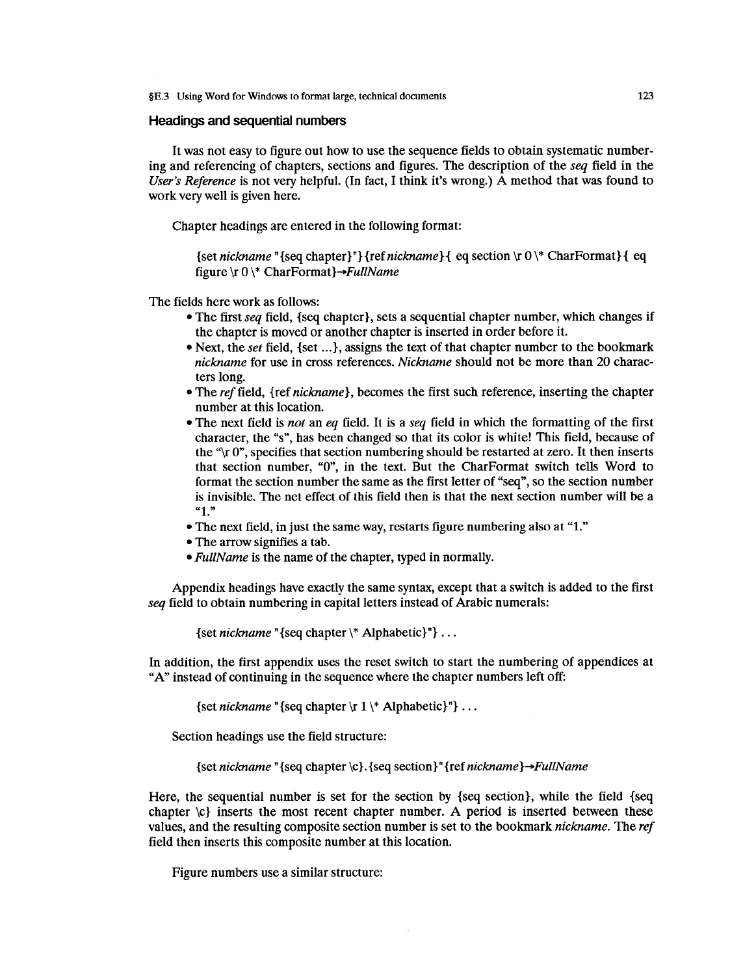### **Headings and sequential numbers**

It was not easy to figure out how to use the sequence fields to obtain systematic numbering and referencing of chapters, sections and figures. The description of the *seq* field in the *User's Reference* is not very helpful. (In fact, I think it's wrong.) A method that was found to work very well is given here.

Chapter headings are entered in the following format:

{set *nickname* "{seq chapter}"}{refnickname}{ eq section \r 0 \\* CharFormat}{ eq figure  $\forall$ r 0  $\forall$ \* CharFormat $\rightarrow$ FullName

The fields here work as follows:

- The first *seq* field, {seq chapter}, sets a sequential chapter number, which changes if the chapter is moved or another chapter is inserted in order before it.
- Next, the *set* field, {set ...}, assigns the text of that chapter number to the bookmark *nickname* for use in cross references. *Nickname* should not be more than 20 characters long.
- The *ref* field, {ref *nickname},* becomes the first such reference, inserting the chapter number at this location.
- The next field is *not* an *eq* field. It is a *seq* field in which the formatting of the first character, the "s", has been changed so that its color is white! This field, because of the " $\gamma$  0", specifies that section numbering should be restarted at zero. It then inserts that section number, "0", in the text. But the CharFormat switch tells Word to format the section number the same as the first letter of "seq", so the section number is invisible. The net effect of this field then is that the next section number will be a **"1."**
- The next field, in just the same way, restarts figure numbering also at "1."
- The arrow signifies a tab.
- *Ful/Name* is the name of the chapter, typed in normally.

Appendix headings have exactly the same syntax, except that a switch is added to the first *seq* field to obtain numbering in capital letters instead of Arabic numerals:

{set *nickname* "{seq chapter\\* Alphabetic}"} ...

In addition, the first appendix uses the reset switch to start the numbering of appendices at "A" instead of continuing in the sequence where the chapter numbers left off:

{set *nickname* "{seq chapter \r 1 \\*Alphabetic}"} ...

Section headings use the field structure:

{set *nickname* "{seq chapter \c}. {seq section}" {ref *nickname }-+Ful/Name* 

Here, the sequential number is set for the section by {seq section}, while the field {seq chapter  $\langle c \rangle$  inserts the most recent chapter number. A period is inserted between these values, and the resulting composite section number is set to the bookmark *nickname.* The *ref*  field then inserts this composite number at this location.

Figure numbers use a similar structure: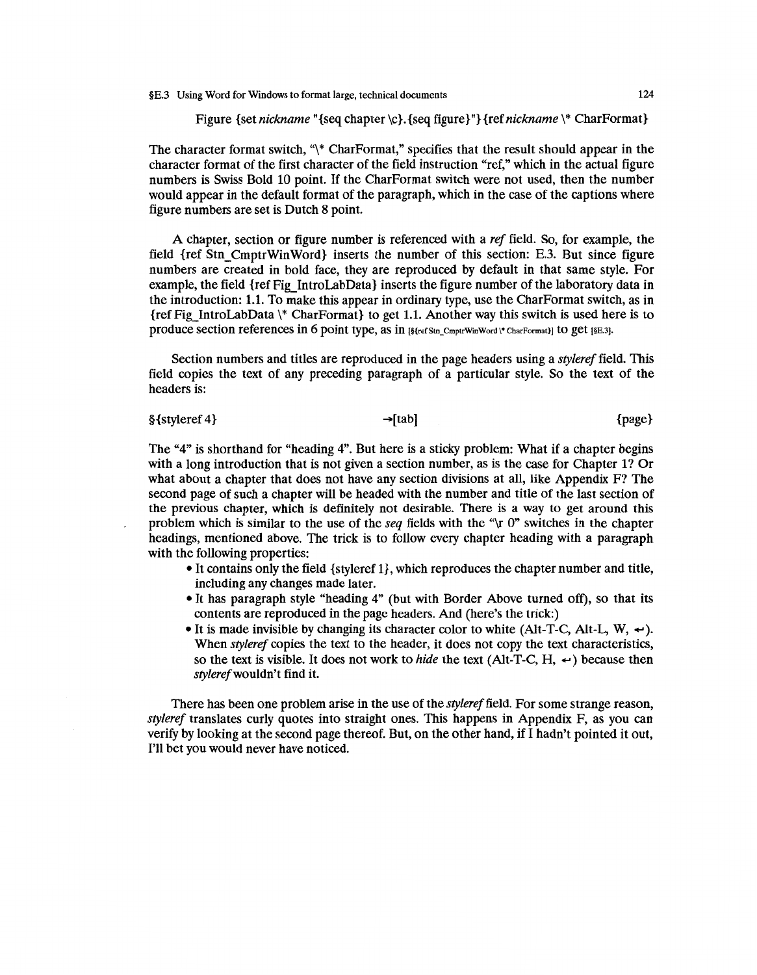Figure {set *nickname* "{seq chapter \c}. {seq figure}"} {ref *nickname* \\* CharFormat}

The character format switch, " $*$  Char Format," specifies that the result should appear in the character format of the first character of the field instruction "ref," which in the actual figure numbers is Swiss Bold 10 point. If the Char Format switch were not used, then the number would appear in the default format of the paragraph, which in the case of the captions where figure numbers are set is Dutch 8 point.

A chapter, section or figure number is referenced with a *ref* field. So, for example, the field {ref Stn\_CmptrWinWord} inserts the number of this section: E.3. But since figure numbers are created in bold face, they are reproduced by default in that same style. For example, the field {ref Fig\_ IntroLabData} inserts the figure number of the laboratory data in the introduction: 1.1. To make this appear in ordinary type, use the Char Format switch, as in {ref Fig\_IntroLabData \\* CharFormat} to get 1.1. Another way this switch is used here is to produce section references in 6 point type, as in [§{refStn\_CmptrWinWord \\* CharFormat}] to get [§E.3].

Section numbers and titles are reproduced in the page headers using a *styleref* field. This field copies the text of any preceding paragraph of a particular style. So the text of the headers is:

 $\S$ {styleref 4}  $\rightarrow$ [tab]  $\rightarrow$ [tab] {page}

The "4" is shorthand for "heading 4". But here is a sticky problem: What if a chapter begins with a long introduction that is not given a section number, as is the case for Chapter 1? Or what about a chapter that does not have any section divisions at all, like Appendix F? The second page of such a chapter will be headed with the number and title of the last section of the previous chapter, which is definitely not desirable. There is a way to get around this problem which is similar to the use of the *seq* fields with the "\r 0" switches in the chapter headings, mentioned above. The trick is to follow every chapter heading with a paragraph with the following properties:

- It contains only the field {styleref 1}, which reproduces the chapter number and title, including any changes made later.
- It has paragraph style "heading 4" (but with Border Above turned off), so that its contents are reproduced in the page headers. And (here's the trick:)
- It is made invisible by changing its character color to white (Alt-T-C, Alt-L, W,  $\leftrightarrow$ ). When *styleref* copies the text to the header, it does not copy the text characteristics, so the text is visible. It does not work to *hide* the text (Alt-T-C, H,  $\leftrightarrow$ ) because then *stylerefwouldn't* find it.

There has been one problem arise in the use of the *styleref* field. For some strange reason, *styleref* translates curly quotes into straight ones. This happens in Appendix F, as you can verify by looking at the second page thereof. But, on the other hand, if I hadn't pointed it out, I'll bet you would never have noticed.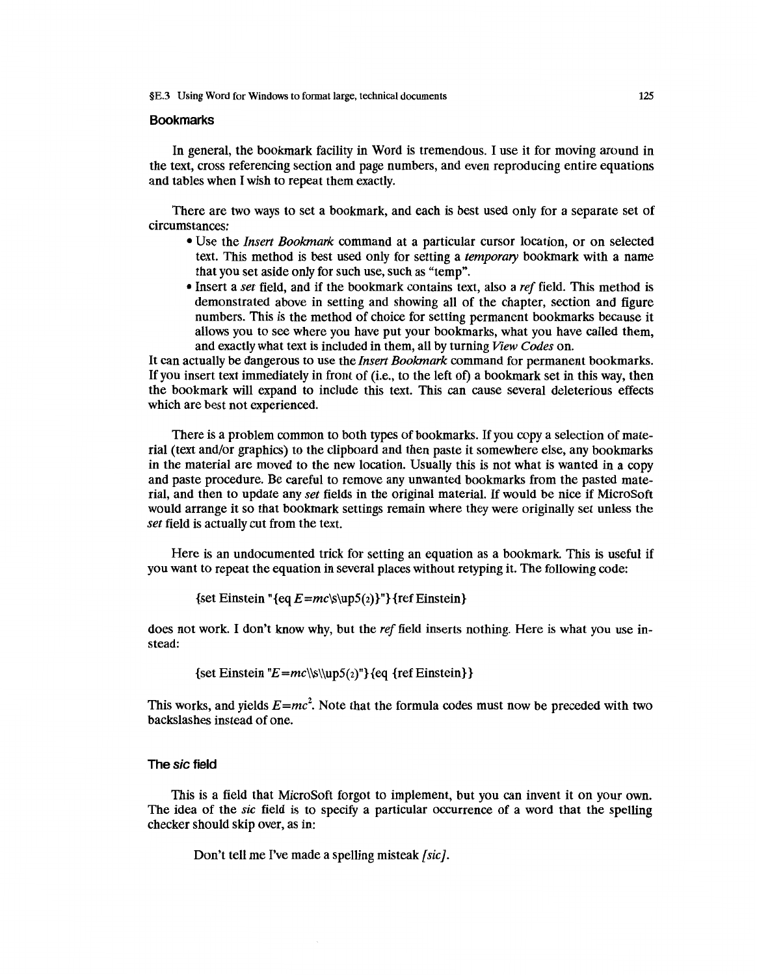## **Bookmarks**

In general, the bookmark facility in Word is tremendous. I use it for moving around in the text, cross referencing section and page numbers, and even reproducing entire equations and tables when I wish to repeat them exactly.

There are two ways to set a bookmark, and each is best used only for a separate set of circumstances:

- Use the *Insert Bookmark* command at a particular cursor location, or on selected text. This method is best used only for setting a *temporary* bookmark with a name that you set aside only for such use, such as "temp".
- Insert a *set* field, and if the bookmark contains text, also a *ref* field. This method is demonstrated above in setting and showing all of the chapter, section and figure numbers. This is the method of choice for setting permanent bookmarks because it allows you to see where you have put your bookmarks, what you have called them, and exactly what text is included in them, all by turning *View Codes* on.

It can actually be dangerous to use the *Insert Bookmark* command for permanent bookmarks. If you insert text immediately in front of (i.e., to the left of) a bookmark set in this way, then the bookmark will expand to include this text. This can cause several deleterious effects which are best not experienced.

There is a problem common to both types of bookmarks. If you copy a selection of material (text and/or graphics) to the clipboard and then paste it somewhere else, any bookmarks in the material are moved to the new location. Usually this is not what is wanted in a copy and paste procedure. Be careful to remove any unwanted bookmarks from the pasted material, and then to update any *set* fields in the original material. If would be nice if MicroSoft would arrange it so that bookmark settings remain where they were originally set unless the *set* field is actually cut from the text.

Here is an undocumented trick for setting an equation as a bookmark. This is useful if you want to repeat the equation in several places without retyping it. The following code:

{set Einstein " ${eq E=mc\s\uplus\{0\}^n}$  {ref Einstein}

does not work. I don't know why, but the *ref* field inserts nothing. Here is what you use instead:

{set Einstein " $E=mc\lvert\$ \up5(z)"}{eq {ref Einstein}}

This works, and yields  $E=mc^2$ . Note that the formula codes must now be preceded with two backslashes instead of one.

## **The** sic **field**

This is a field that MicroSoft forgot to implement, but you can invent it on your own. The idea of the *sic* field is to specify a particular occurrence of a word that the spelling checker should skip over, as in:

Don't tell me I've made a spelling misteak *[sic].*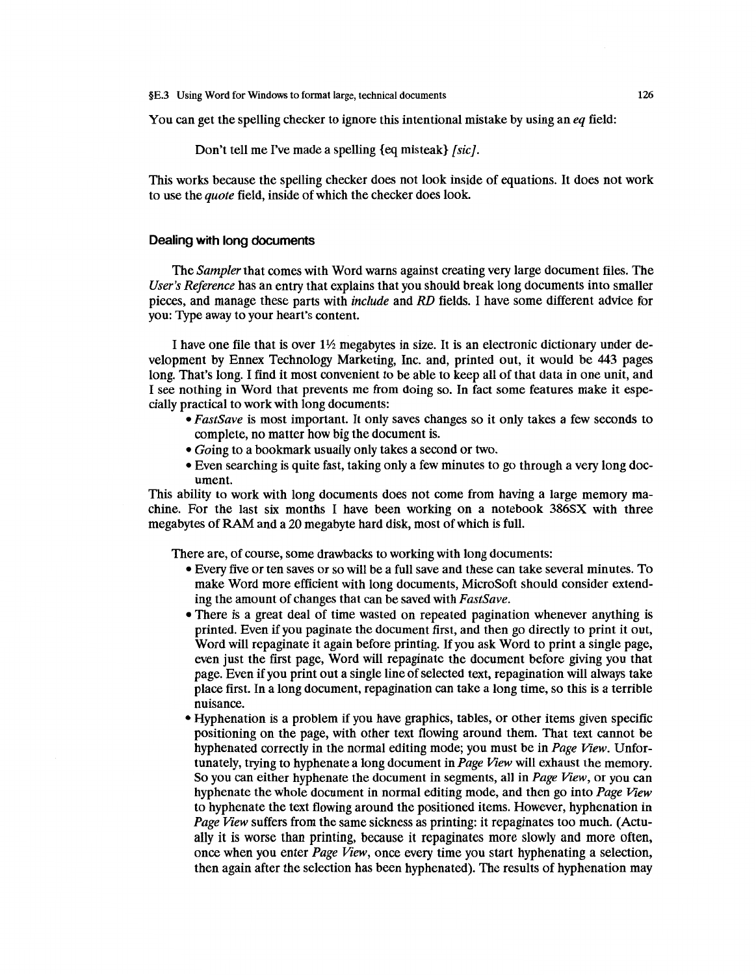You can get the spelling checker to ignore this intentional mistake by using an *eq* field:

Don't tell me I've made a spelling {eq misteak} *[sic].* 

This works because the spelling checker does not look inside of equations. It does not work to use the *quote* field, inside of which the checker does look.

#### **Dealing with long documents**

The *Sampler* that comes with Word warns against creating very large document files. The *User's Reference* has an entry that explains that you should break long documents into smaller pieces, and manage these parts with *include* and *RD* fields. I have some different advice for you: Type away to your heart's content.

I have one file that is over 1 *Y2* megabytes in size. It is an electronic dictionary under development by Ennex Technology Marketing, Inc. and, printed out, it would be 443 pages long. That's long. I find it most convenient to be able to keep all of that data in one unit, and I see nothing in Word that prevents me from doing so. In fact some features make it especially practical to work with long documents:

- *FastSave* is most important. It only saves changes so it only takes a few seconds to complete, no matter how big the document is.
- *Going* to a bookmark usually only takes a second or two.
- Even searching is quite fast, taking only a few minutes to go through a very long document.

This ability to work with long documents does not come from having a large memory machine. For the last six months I have been working on a notebook 386SX with three megabytes of RAM and a 20 megabyte hard disk, most of which is full.

There are, of course, some drawbacks to working with long documents:

- Every five or ten saves or so will be a full save and these can take several minutes. To make Word more efficient with long documents, MicroSoft should consider extending the amount of changes that can be saved with *FastSave.*
- There is a great deal of time wasted on repeated pagination whenever anything is printed. Even if you paginate the document first, and then go directly to print it out, Word will repaginate it again before printing. If you ask Word to print a single page, even just the first page, Word will repaginate the document before giving you that page. Even if you print out a single line of selected text, repagination will always take place first. In a long document, repagination can take a long time, so this is a terrible nuisance.
- Hyphenation is a problem if you have graphics, tables, or other items given specific positioning on the page, with other text flowing around them. That text cannot be hyphenated correctly in the normal editing mode; you must be in *Page View.* Unfortunately, trying to hyphenate a long document in *Page View* will exhaust the memory. So you can either hyphenate the document in segments, all in *Page View,* or you can hyphenate the whole document in normal editing mode, and then go into *Page View*  to hyphenate the text flowing around the positioned items. However, hyphenation in *Page View* suffers from the same sickness as printing: it repaginates too much. (Actually it is worse than printing, because it repaginates more slowly and more often, once when you enter *Page View,* once every time you start hyphenating a selection, then again after the selection has been hyphenated). The results of hyphenation may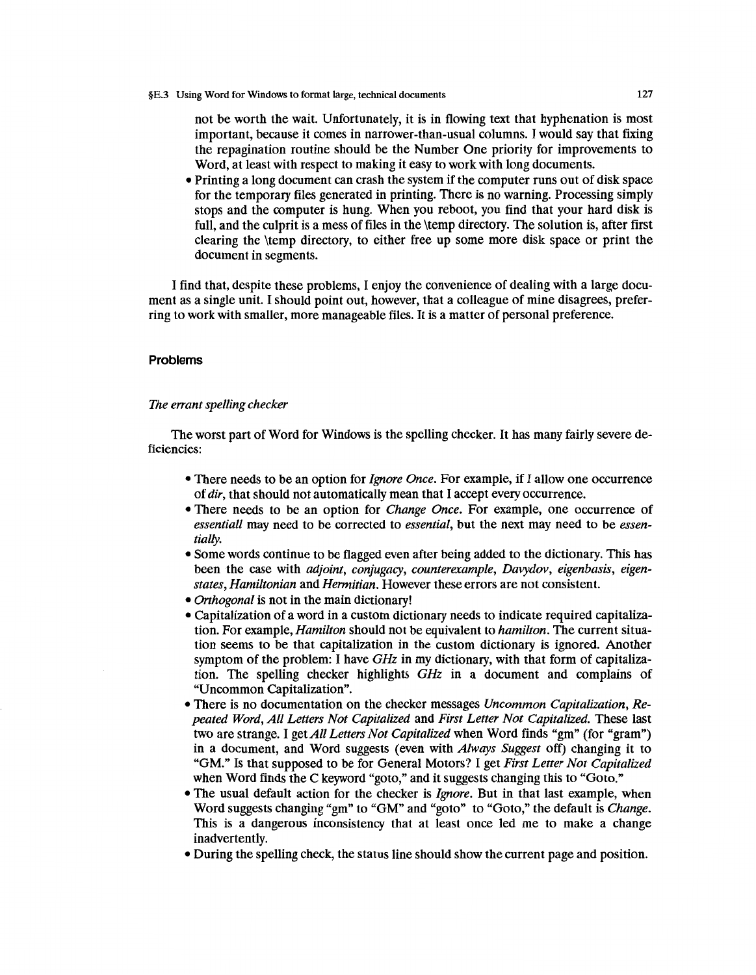not be worth the wait. Unfortunately, it is in flowing text that hyphenation is most important, because it comes in narrower-than-usual columns. I would say that fixing the repagination routine should be the Number One priority for improvements to Word, at least with respect to making it easy to work with long documents.

• Printing a long document can crash the system if the computer runs out of disk space for the temporary files generated in printing. There is no warning. Processing simply stops and the computer is hung. When you reboot, you find that your hard disk is full, and the culprit is a mess of files in the \temp directory. The solution is, after first clearing the \temp directory, to either free up some more disk space or print the document in segments.

I find that, despite these problems, I enjoy the convenience of dealing with a large document as a single unit. I should point out, however, that a colleague of mine disagrees, preferring to work with smaller, more manageable files. It is a matter of personal preference.

#### **Problems**

## *The errant spelling checker*

The worst part of Word for Windows is the spelling checker. It has many fairly severe deficiencies:

- There needs to be an option for *Ignore Once.* For example, if I allow one occurrence of *dir,* that should not automatically mean that I accept every occurrence.
- There needs to be an option for *Change Once*. For example, one occurrence of *essentiall* may need to be corrected to *essential,* but the next may need to be *essentially.*
- Some words continue to be flagged even after being added to the dictionary. This has been the case with *adjoint, conjugacy, counterexample, Davydov, eigenbasis, eigenstates, Hamiltonian* and *Hermitian.* However these errors are not consistent.
- *Orthogonal* is not in the main dictionary!
- Capitalization of a word in a custom dictionary needs to indicate required capitalization. For example, *Hamilton* should not be equivalent to *hamilton.* The current situation seems to be that capitalization in the custom dictionary is ignored. Another symptom of the problem: I have *GHz* in my dictionary, with that form of capitalization. The spelling checker highlights *GHz* in a document and complains of "Uncommon Capitalization".
- There is no documentation on the checker messages *Uncommon Capitalization, Repeated Word, All Letters Not Capitalized* and *First Letter Not Capitalized.* These last two are strange. I get *All Letters Not Capitalized* when Word finds "gm" (for "gram") in a document, and Word suggests (even with *Always Suggest* off) changing it to "GM." Is that supposed to be for General Motors? I get *First Letter Not Capitalized*  when Word finds the C keyword "goto," and it suggests changing this to "Goto."
- The usual default action for the checker is *Ignore*. But in that last example, when Word suggests changing "gm" to "GM" and "goto" to "Goto," the default is *Change.*  This is a dangerous inconsistency that at least once led me to make a change inadvertently.
- During the spelling check, the status line should show the current page and position.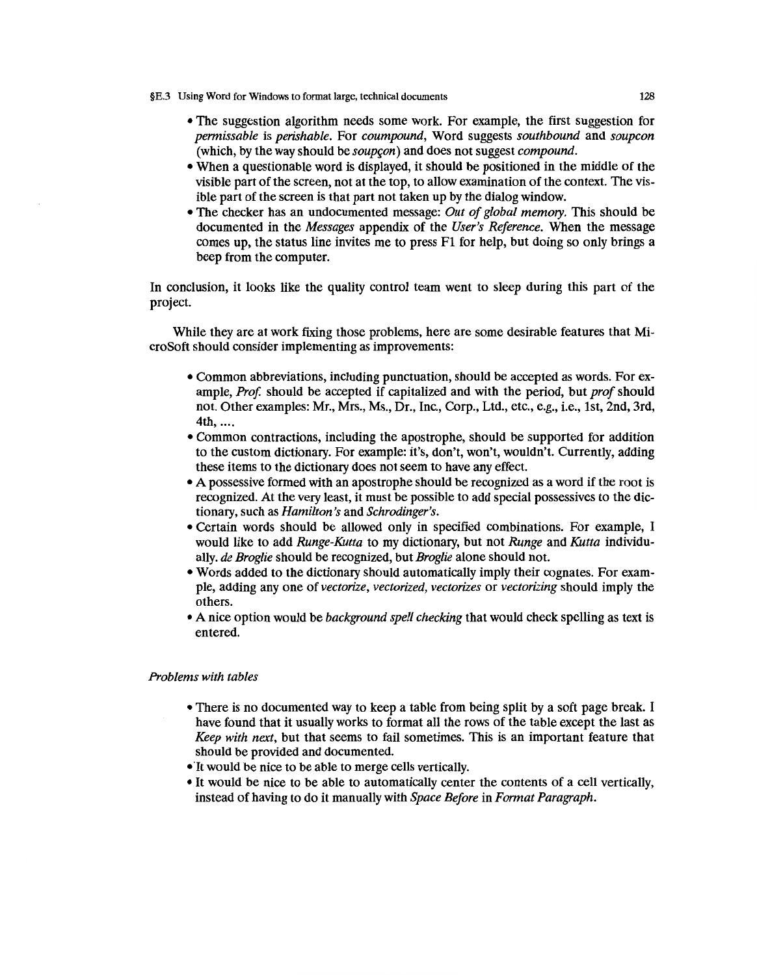- §E.3 Using Word for Windows to format large, technical documents 128
	- The suggestion algorithm needs some work. For example, the first suggestion for *permissable* is *perishable.* For *coumpound,* Word suggests *southbound* and *soupcon*  (which, by the way should be *soupcon*) and does not suggest *compound*.
	- When a questionable word is displayed, it should be positioned in the middle of the visible part of the screen, not at the top, to allow examination of the context. The visible part of the screen is that part not taken up by the dialog window.
	- The checker has an undocumented message: *Out of global memory.* This should be documented in the *Messages* appendix of the *User's Reference.* When the message comes up, the status line invites me to press Fl for help, but doing so only brings a beep from the computer.

In conclusion, it looks like the quality control team went to sleep during this part of the project.

While they are at work fixing those problems, here are some desirable features that MicroSoft should consider implementing as improvements:

- Common abbreviations, including punctuation, should be accepted as words. For example, *Prof.* should be accepted if capitalized and with the period, but *prof* should not. Other examples: Mr., Mrs., Ms., Dr., Inc., Corp., Ltd., etc., e.g., i.e., 1st, 2nd, 3rd, 4th, ....
- Common contractions, including the apostrophe, should be supported for addition to the custom dictionary. For example: it's, don't, won't, wouldn't. Currently, adding these items to the dictionary does not seem to have any effect.
- A possessive formed with an apostrophe should be recognized as a word if the root is recognized. At the very least, it must be possible to add special possessives to the dictionary, such as *Hamilton's* and *Schrodinger's.*
- Certain words should be allowed only in specified combinations. For example, I would like to add *Runge-Kutta* to my dictionary, but not *Runge* and *Kutta* individually. *de Broglie* should be recognized, but *Broglie* alone should not.
- Words added to the dictionary should automatically imply their cognates. For example, adding any one of *vectorize, vectorized, vectorizes* or *vectorizing* should imply the others.
- A nice option would be *background spell checking* that would check spelling as text is entered.

## *Problems with tables*

- There is no documented way to keep a table from being split by a soft page break. I have found that it usually works to format all the rows of the table except the last as *Keep with next,* but that seems to fail sometimes. This is an important feature that should be provided and documented.
- It would be nice to be able to merge cells vertically.
- It would be nice to be able to automatically center the contents of a cell vertically, instead of having to do it manually with *Space Before* in *Format Paragraph.*